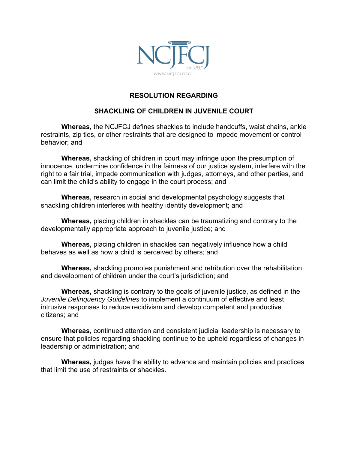

## **RESOLUTION REGARDING**

## **SHACKLING OF CHILDREN IN JUVENILE COURT**

**Whereas,** the NCJFCJ defines shackles to include handcuffs, waist chains, ankle restraints, zip ties, or other restraints that are designed to impede movement or control behavior; and

**Whereas,** shackling of children in court may infringe upon the presumption of innocence, undermine confidence in the fairness of our justice system, interfere with the right to a fair trial, impede communication with judges, attorneys, and other parties, and can limit the child's ability to engage in the court process; and

**Whereas,** research in social and developmental psychology suggests that shackling children interferes with healthy identity development; and

**Whereas,** placing children in shackles can be traumatizing and contrary to the developmentally appropriate approach to juvenile justice; and

**Whereas,** placing children in shackles can negatively influence how a child behaves as well as how a child is perceived by others; and

**Whereas,** shackling promotes punishment and retribution over the rehabilitation and development of children under the court's jurisdiction; and

**Whereas,** shackling is contrary to the goals of juvenile justice, as defined in the *Juvenile Delinquency Guidelines* to implement a continuum of effective and least intrusive responses to reduce recidivism and develop competent and productive citizens; and

**Whereas,** continued attention and consistent judicial leadership is necessary to ensure that policies regarding shackling continue to be upheld regardless of changes in leadership or administration; and

**Whereas,** judges have the ability to advance and maintain policies and practices that limit the use of restraints or shackles.